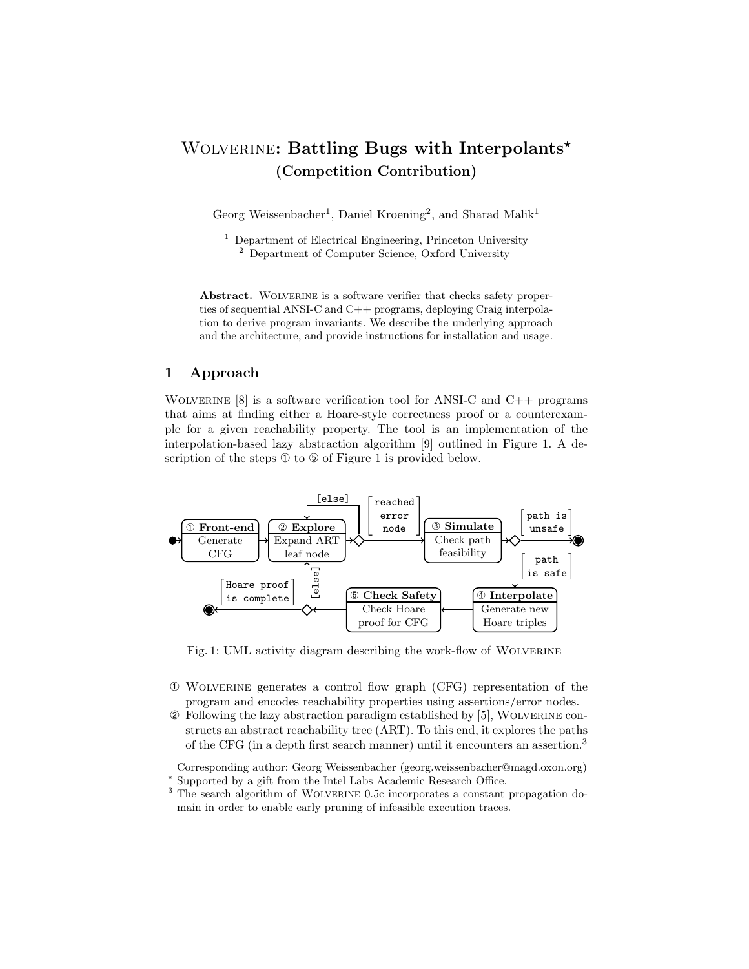# WOLVERINE: Battling Bugs with Interpolants\* (Competition Contribution)

Georg Weissenbacher<sup>1</sup>, Daniel Kroening<sup>2</sup>, and Sharad Malik<sup>1</sup>

<sup>1</sup> Department of Electrical Engineering, Princeton University <sup>2</sup> Department of Computer Science, Oxford University

Abstract. WOLVERINE is a software verifier that checks safety properties of sequential ANSI-C and C++ programs, deploying Craig interpolation to derive program invariants. We describe the underlying approach and the architecture, and provide instructions for installation and usage.

## 1 Approach

WOLVERINE  $[8]$  is a software verification tool for ANSI-C and C++ programs that aims at finding either a Hoare-style correctness proof or a counterexample for a given reachability property. The tool is an implementation of the interpolation-based lazy abstraction algorithm [9] outlined in Figure 1. A description of the steps  $\mathcal D$  to  $\mathcal D$  of Figure 1 is provided below.



Fig. 1: UML activity diagram describing the work-flow of Wolverine

- ➀ Wolverine generates a control flow graph (CFG) representation of the program and encodes reachability properties using assertions/error nodes.
- ➁ Following the lazy abstraction paradigm established by [5], Wolverine constructs an abstract reachability tree (ART). To this end, it explores the paths of the CFG (in a depth first search manner) until it encounters an assertion.<sup>3</sup>

Corresponding author: Georg Weissenbacher (georg.weissenbacher@magd.oxon.org) ? Supported by a gift from the Intel Labs Academic Research Office.

<sup>&</sup>lt;sup>3</sup> The search algorithm of WOLVERINE 0.5c incorporates a constant propagation domain in order to enable early pruning of infeasible execution traces.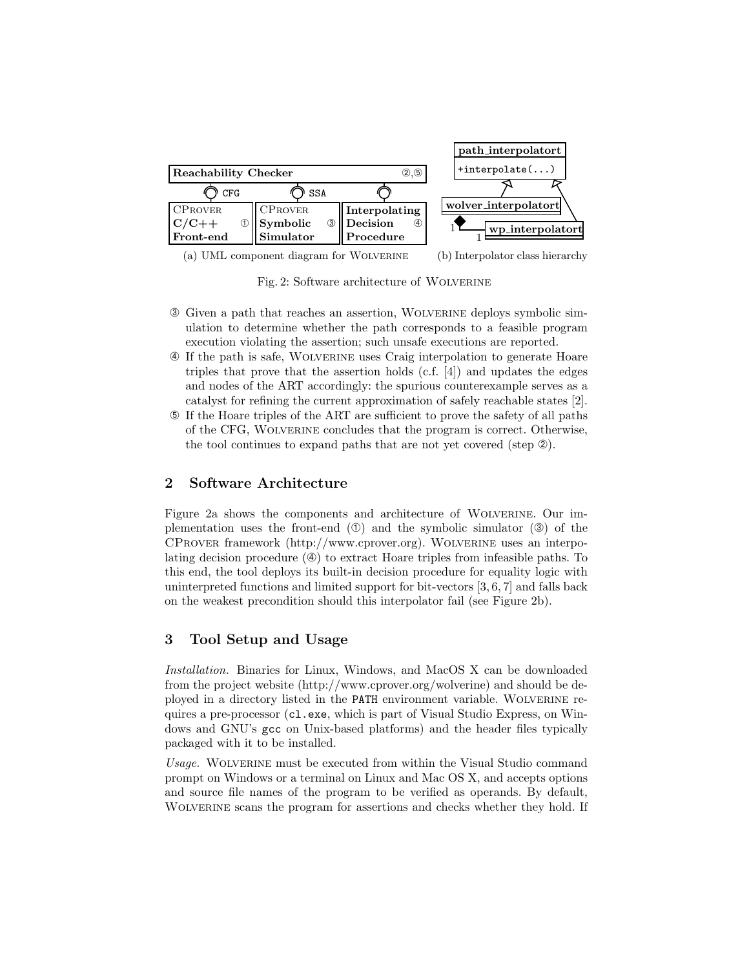

(a) UML component diagram for Wolverine (b) Interpolator class hierarchy

Fig. 2: Software architecture of Wolverine

- ➂ Given a path that reaches an assertion, Wolverine deploys symbolic simulation to determine whether the path corresponds to a feasible program execution violating the assertion; such unsafe executions are reported.
- ➃ If the path is safe, Wolverine uses Craig interpolation to generate Hoare triples that prove that the assertion holds  $(c.f. [4])$  and updates the edges and nodes of the ART accordingly: the spurious counterexample serves as a catalyst for refining the current approximation of safely reachable states [2].
- ➄ If the Hoare triples of the ART are sufficient to prove the safety of all paths of the CFG, Wolverine concludes that the program is correct. Otherwise, the tool continues to expand paths that are not yet covered (step  $\circled{2}$ ).

# 2 Software Architecture

Figure 2a shows the components and architecture of Wolverine. Our implementation uses the front-end  $(\mathbb{O})$  and the symbolic simulator  $(\mathbb{O})$  of the CProver framework (http://www.cprover.org). Wolverine uses an interpolating decision procedure  $(\mathcal{D})$  to extract Hoare triples from infeasible paths. To this end, the tool deploys its built-in decision procedure for equality logic with uninterpreted functions and limited support for bit-vectors [3, 6, 7] and falls back on the weakest precondition should this interpolator fail (see Figure 2b).

# 3 Tool Setup and Usage

Installation. Binaries for Linux, Windows, and MacOS X can be downloaded from the project website (http://www.cprover.org/wolverine) and should be deployed in a directory listed in the PATH environment variable. Wolverine requires a pre-processor (cl.exe, which is part of Visual Studio Express, on Windows and GNU's gcc on Unix-based platforms) and the header files typically packaged with it to be installed.

Usage. Wolverine must be executed from within the Visual Studio command prompt on Windows or a terminal on Linux and Mac OS X, and accepts options and source file names of the program to be verified as operands. By default, WOLVERINE scans the program for assertions and checks whether they hold. If